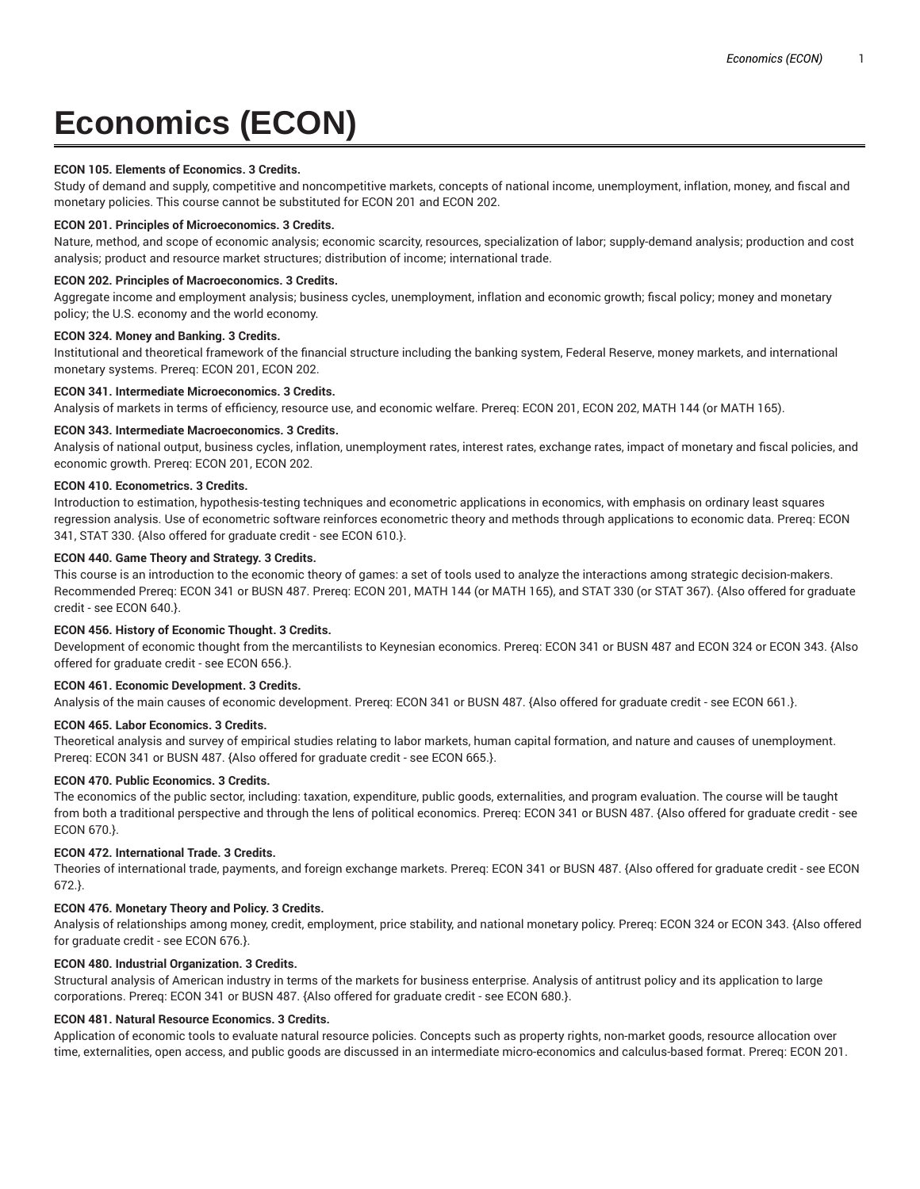# **Economics (ECON)**

### **ECON 105. Elements of Economics. 3 Credits.**

Study of demand and supply, competitive and noncompetitive markets, concepts of national income, unemployment, inflation, money, and fiscal and monetary policies. This course cannot be substituted for ECON 201 and ECON 202.

#### **ECON 201. Principles of Microeconomics. 3 Credits.**

Nature, method, and scope of economic analysis; economic scarcity, resources, specialization of labor; supply-demand analysis; production and cost analysis; product and resource market structures; distribution of income; international trade.

#### **ECON 202. Principles of Macroeconomics. 3 Credits.**

Aggregate income and employment analysis; business cycles, unemployment, inflation and economic growth; fiscal policy; money and monetary policy; the U.S. economy and the world economy.

#### **ECON 324. Money and Banking. 3 Credits.**

Institutional and theoretical framework of the financial structure including the banking system, Federal Reserve, money markets, and international monetary systems. Prereq: ECON 201, ECON 202.

#### **ECON 341. Intermediate Microeconomics. 3 Credits.**

Analysis of markets in terms of efficiency, resource use, and economic welfare. Prereq: ECON 201, ECON 202, MATH 144 (or MATH 165).

### **ECON 343. Intermediate Macroeconomics. 3 Credits.**

Analysis of national output, business cycles, inflation, unemployment rates, interest rates, exchange rates, impact of monetary and fiscal policies, and economic growth. Prereq: ECON 201, ECON 202.

#### **ECON 410. Econometrics. 3 Credits.**

Introduction to estimation, hypothesis-testing techniques and econometric applications in economics, with emphasis on ordinary least squares regression analysis. Use of econometric software reinforces econometric theory and methods through applications to economic data. Prereq: ECON 341, STAT 330. {Also offered for graduate credit - see ECON 610.}.

#### **ECON 440. Game Theory and Strategy. 3 Credits.**

This course is an introduction to the economic theory of games: a set of tools used to analyze the interactions among strategic decision-makers. Recommended Prereq: ECON 341 or BUSN 487. Prereq: ECON 201, MATH 144 (or MATH 165), and STAT 330 (or STAT 367). {Also offered for graduate credit - see ECON 640.}.

## **ECON 456. History of Economic Thought. 3 Credits.**

Development of economic thought from the mercantilists to Keynesian economics. Prereq: ECON 341 or BUSN 487 and ECON 324 or ECON 343. {Also offered for graduate credit - see ECON 656.}.

## **ECON 461. Economic Development. 3 Credits.**

Analysis of the main causes of economic development. Prereq: ECON 341 or BUSN 487. {Also offered for graduate credit - see ECON 661.}.

#### **ECON 465. Labor Economics. 3 Credits.**

Theoretical analysis and survey of empirical studies relating to labor markets, human capital formation, and nature and causes of unemployment. Prereq: ECON 341 or BUSN 487. {Also offered for graduate credit - see ECON 665.}.

# **ECON 470. Public Economics. 3 Credits.**

The economics of the public sector, including: taxation, expenditure, public goods, externalities, and program evaluation. The course will be taught from both a traditional perspective and through the lens of political economics. Prereq: ECON 341 or BUSN 487. {Also offered for graduate credit - see ECON 670.}.

# **ECON 472. International Trade. 3 Credits.**

Theories of international trade, payments, and foreign exchange markets. Prereq: ECON 341 or BUSN 487. {Also offered for graduate credit - see ECON 672.}.

## **ECON 476. Monetary Theory and Policy. 3 Credits.**

Analysis of relationships among money, credit, employment, price stability, and national monetary policy. Prereq: ECON 324 or ECON 343. {Also offered for graduate credit - see ECON 676.}.

# **ECON 480. Industrial Organization. 3 Credits.**

Structural analysis of American industry in terms of the markets for business enterprise. Analysis of antitrust policy and its application to large corporations. Prereq: ECON 341 or BUSN 487. {Also offered for graduate credit - see ECON 680.}.

#### **ECON 481. Natural Resource Economics. 3 Credits.**

Application of economic tools to evaluate natural resource policies. Concepts such as property rights, non-market goods, resource allocation over time, externalities, open access, and public goods are discussed in an intermediate micro-economics and calculus-based format. Prereq: ECON 201.